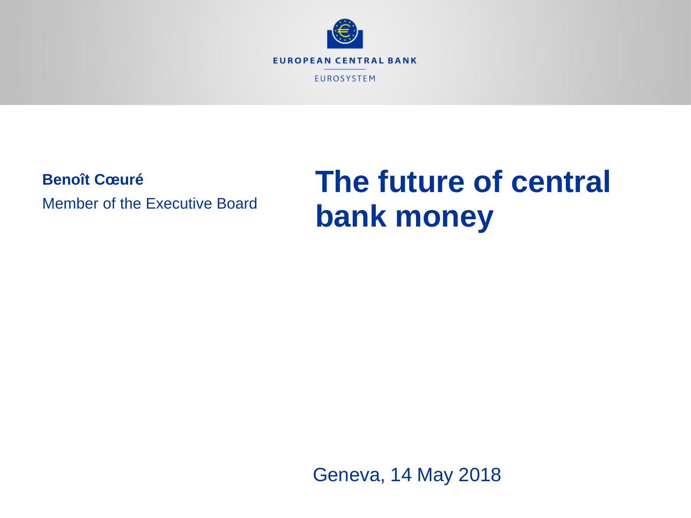

**Benoît Cœuré**

Member of the Executive Board

# **The future of central bank money**

Geneva, 14 May 2018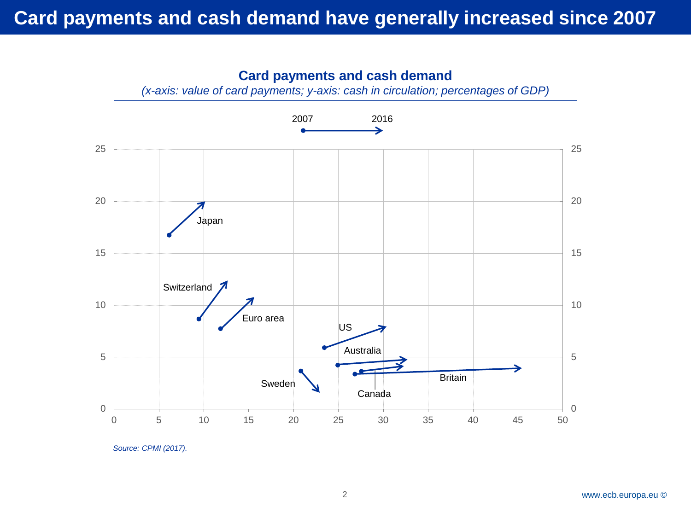

*(x-axis: value of card payments; y-axis: cash in circulation; percentages of GDP)*



*Source: CPMI (2017).*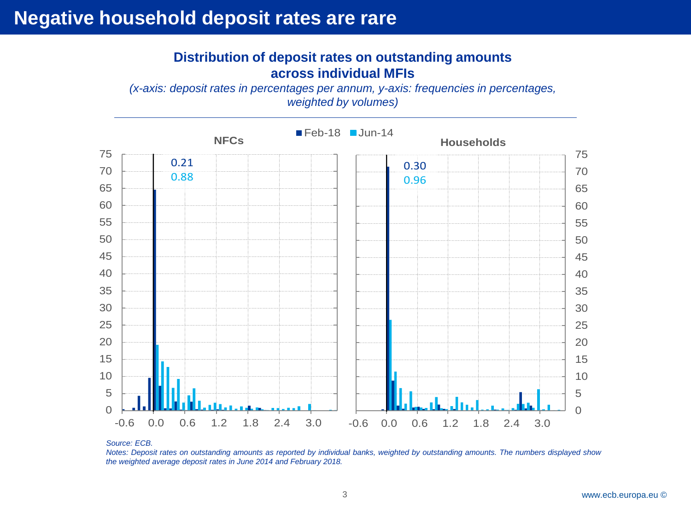## **Negative household deposit rates are rare**

#### **Distribution of deposit rates on outstanding amounts across individual MFIs**

*(x-axis: deposit rates in percentages per annum, y-axis: frequencies in percentages, weighted by volumes)*



*Source: ECB.*

Notes: Deposit rates on outstanding amounts as reported by individual banks, weighted by outstanding amounts. The numbers displayed show *the weighted average deposit rates in June 2014 and February 2018.*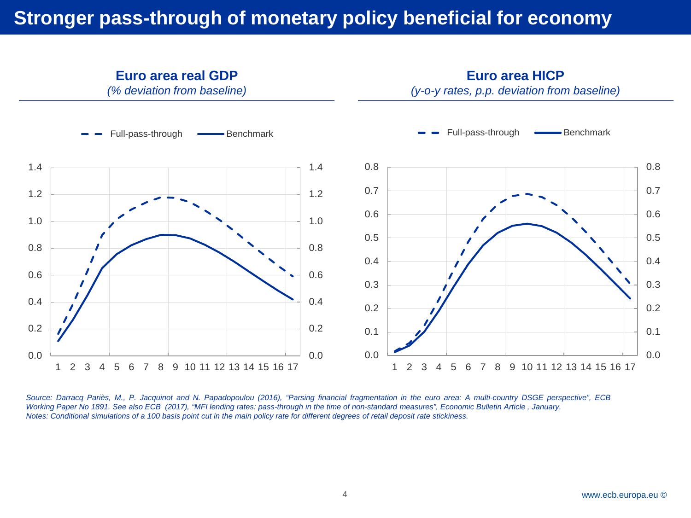# **Stronger pass-through of monetary policy beneficial for economy**



Source: Darracq Pariès, M., P. Jacquinot and N. Papadopoulou (2016), "Parsing financial fragmentation in the euro area: A multi-country DSGE perspective", ECB Working Paper No 1891. See also ECB (2017), "MFI lending rates: pass-through in the time of non-standard measures", Economic Bulletin Article, January. Notes: Conditional simulations of a 100 basis point cut in the main policy rate for different degrees of retail deposit rate stickiness.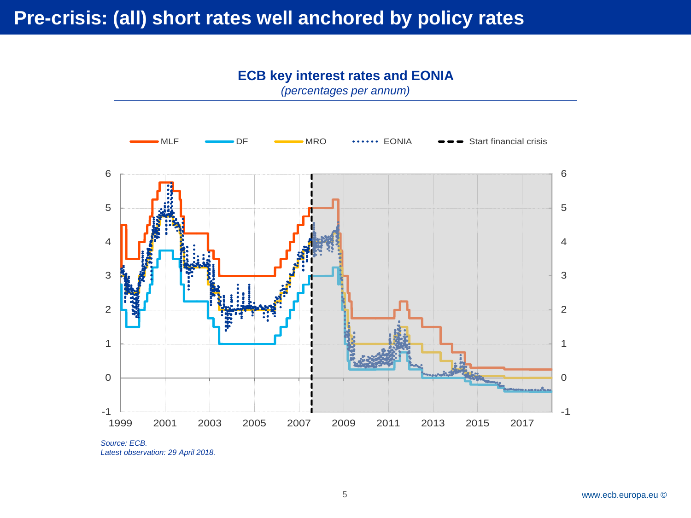

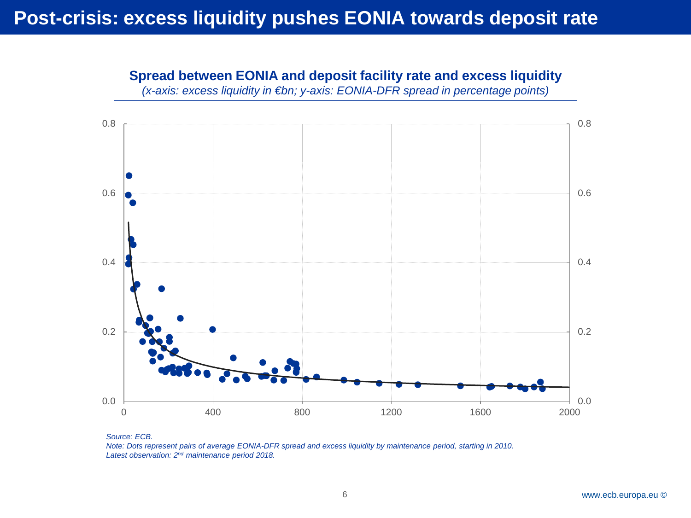*(x-axis: excess liquidity in €bn; y-axis: EONIA-DFR spread in percentage points)* 0.0 0.2 0.4 0.6 0.8 0.0 0.2 0.4 0.6 0.8 0 400 800 1200 1600 2000

**Spread between EONIA and deposit facility rate and excess liquidity**

*Source: ECB.* Note: Dots represent pairs of average EONIA-DFR spread and excess liquidity by maintenance period, starting in 2010. *Latest observation: 2nd maintenance period 2018.*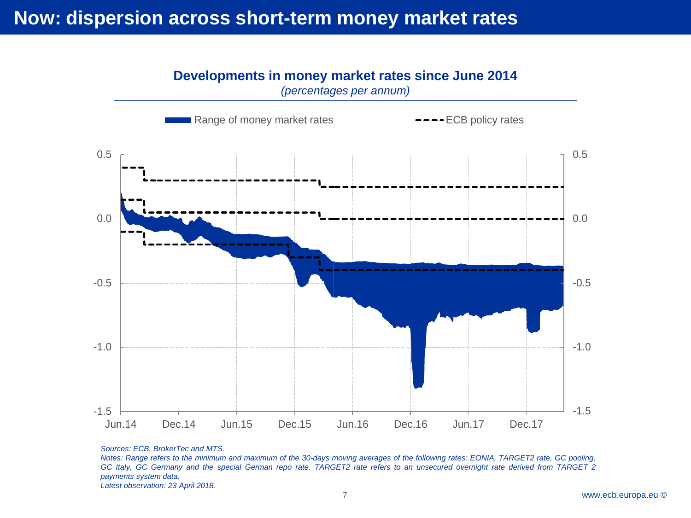# **Now: dispersion across short-term money market rates**

### **Developments in money market rates since June 2014**



*(percentages per annum)*

*Sources: ECB, BrokerTec and MTS.*

Notes: Range refers to the minimum and maximum of the 30-days moving averages of the following rates: EONIA, TARGET2 rate, GC pooling, GC Italy, GC Germany and the special German repo rate. TARGET2 rate refers to an unsecured overnight rate derived from TARGET 2 *payments system data.*

*Latest observation: 23 April 2018.*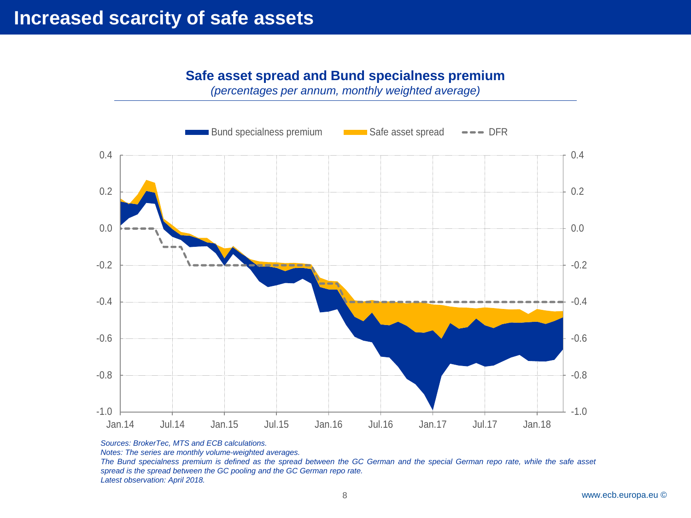#### **Safe asset spread and Bund specialness premium**

*(percentages per annum, monthly weighted average)*



*Sources: BrokerTec, MTS and ECB calculations.*

*Notes: The series are monthly volume-weighted averages.*

The Bund specialness premium is defined as the spread between the GC German and the special German repo rate, while the safe asset *spread is the spread between the GC pooling and the GC German repo rate. Latest observation: April 2018.*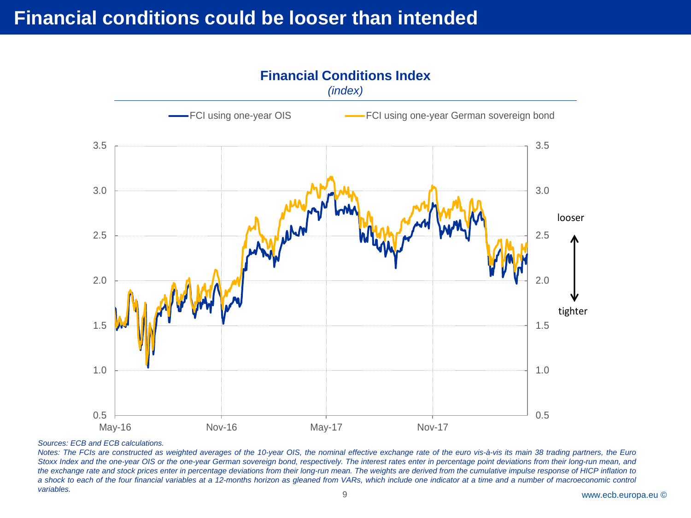

#### **Financial Conditions Index**

#### *Sources: ECB and ECB calculations.*

9 www.ecb.europa.eu © Notes: The FCIs are constructed as weighted averages of the 10-year OIS, the nominal effective exchange rate of the euro vis-à-vis its main 38 trading partners, the Euro Stoxx Index and the one-year OIS or the one-year German sovereign bond, respectively. The interest rates enter in percentage point deviations from their long-run mean, and the exchange rate and stock prices enter in percentage deviations from their long-run mean. The weights are derived from the cumulative impulse response of HICP inflation to a shock to each of the four financial variables at a 12-months horizon as gleaned from VARs, which include one indicator at a time and a number of macroeconomic control *variables.*